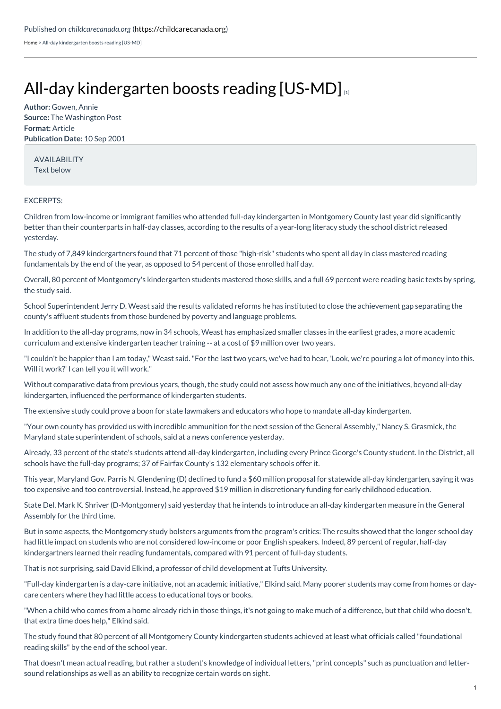[Home](https://childcarecanada.org/) > All-day kindergarten boosts reading [US-MD]

## All-day [kindergarten](https://childcarecanada.org/documents/child-care-news/01/08/all-day-kindergarten-boosts-reading-us-md) boosts reading  $[US-MD]_{11}$

**Author:** Gowen, Annie **Source:** The Washington Post **Format:** Article **Publication Date:** 10 Sep 2001

AVAILABILITY Text below

## EXCERPTS:

Children from low-income or immigrant families who attended full-day kindergarten in Montgomery County last year did significantly better than their counterparts in half-day classes, according to the results of a year-long literacy study the school district released yesterday.

The study of 7,849 kindergartners found that 71 percent of those "high-risk" students who spent all day in class mastered reading fundamentals by the end of the year, as opposed to 54 percent of those enrolled half day.

Overall, 80 percent of Montgomery's kindergarten students mastered those skills, and a full 69 percent were reading basic texts by spring, the study said.

School Superintendent Jerry D. Weast said the results validated reforms he has instituted to close the achievement gap separating the county's affluent students from those burdened by poverty and language problems.

In addition to the all-day programs, now in 34 schools, Weast has emphasized smaller classes in the earliest grades, a more academic curriculum and extensive kindergarten teacher training -- at a cost of \$9 million over two years.

"I couldn't be happier than I am today," Weast said."For the last two years, we've had to hear, 'Look, we're pouring a lot of money into this. Will it work?' I can tell you it will work."

Without comparative data from previous years, though, the study could not assess how much any one of the initiatives, beyond all-day kindergarten, influenced the performance of kindergarten students.

The extensive study could prove a boon for state lawmakers and educators who hope to mandate all-day kindergarten.

"Your own county has provided us with incredible ammunition for the next session of the General Assembly," Nancy S. Grasmick, the Maryland state superintendent of schools, said at a news conference yesterday.

Already, 33 percent of the state's students attend all-day kindergarten, including every Prince George's County student. In the District, all schools have the full-day programs; 37 of Fairfax County's 132 elementary schools offer it.

This year, Maryland Gov. Parris N. Glendening (D) declined to fund a \$60 million proposal for statewide all-day kindergarten, saying it was too expensive and too controversial. Instead, he approved \$19 million in discretionary funding for early childhood education.

State Del. Mark K. Shriver (D-Montgomery) said yesterday that he intends to introduce an all-day kindergarten measure in the General Assembly for the third time.

But in some aspects, the Montgomery study bolsters arguments from the program's critics: The results showed that the longer school day had little impact on students who are not considered low-income or poor English speakers. Indeed, 89 percent of regular, half-day kindergartners learned their reading fundamentals, compared with 91 percent of full-day students.

That is not surprising, said David Elkind, a professor of child development at Tufts University.

"Full-day kindergarten is a day-care initiative, not an academic initiative," Elkind said. Many poorer students may come from homes or daycare centers where they had little access to educational toys or books.

"When a child who comes from a home already rich in those things, it's not going to make much of a difference, but that child who doesn't, that extra time does help," Elkind said.

The study found that 80 percent of all Montgomery County kindergarten students achieved at least what officials called "foundational reading skills" by the end of the school year.

That doesn't mean actual reading, but rather a student's knowledge of individual letters,"print concepts" such as punctuation and lettersound relationships as well as an ability to recognize certain words on sight.